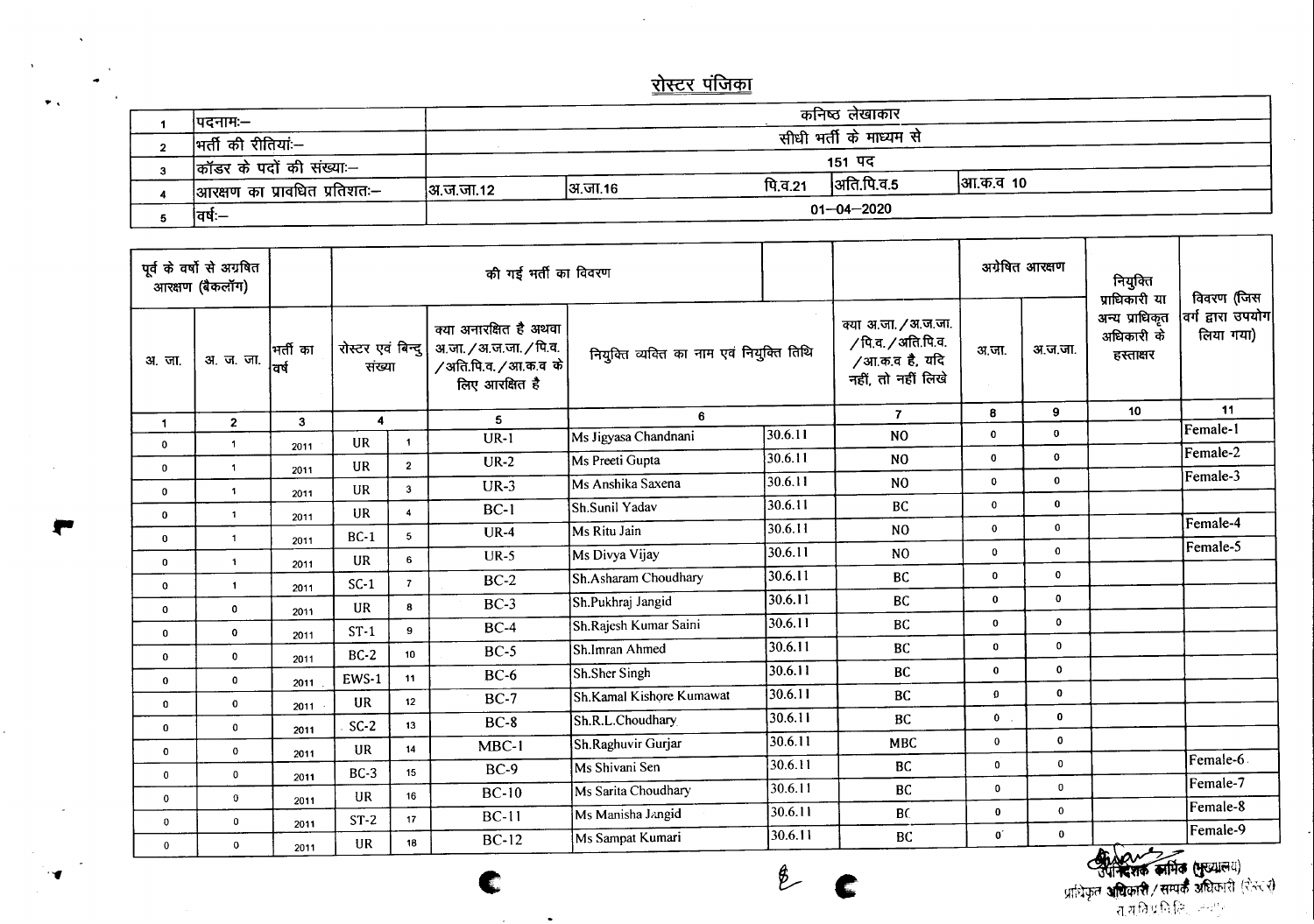## <u>रोस्टर पंजिका</u>

| ।पदनामः—                     |                  |                         |         |            |                  |  |  |  |  |  |  |
|------------------------------|------------------|-------------------------|---------|------------|------------------|--|--|--|--|--|--|
| मर्ती की रीतियां:--          |                  | सीधी भर्ती के माध्यम से |         |            |                  |  |  |  |  |  |  |
|                              |                  |                         |         |            |                  |  |  |  |  |  |  |
| कॉडर के पदों की संख्या:--    |                  |                         |         | 151 पद     |                  |  |  |  |  |  |  |
| आरक्षण का प्रावधित प्रतिशतः— | !अ.ज.जा.12       | अ.जा.16                 | पि.व.21 | अति.पि.व.5 | <b> आ.क.व १०</b> |  |  |  |  |  |  |
|                              | $01 - 04 - 2020$ |                         |         |            |                  |  |  |  |  |  |  |
| ।वर्षः—                      |                  |                         |         |            |                  |  |  |  |  |  |  |

| अन्य प्राधिकृत<br>क्या अ.जा. / अ.ज.जा.<br>क्या अनारक्षित है अथवा<br>अधिकारी के<br>लिया गया)<br>$/$ पि.व. $/$ अति.पि.व.<br>रोस्टर एवं बिन्दु  <br>अ.जा. / अ.ज.जा. / पि.व.<br> मर्ती का<br>अ.ज.जा.<br>अ.जा.<br>नियुक्ति व्यक्ति का नाम एवं नियुक्ति तिथि<br>हस्ताक्षर<br>/आ.क.व है, यदि<br>अ. ज. जा.<br>अ.जा.<br>/अति.पि.व. /आ.क.व के<br>संख्या<br>ਰਬ<br>नहीं, तो नहीं लिखे<br>लिए आरक्षित है<br>11<br>10<br>9<br>8<br>$\overline{7}$<br>6<br>5<br>4<br>$\mathbf{3}$<br>$\overline{2}$<br>$\mathbf{1}$<br>Female-1<br>30.6.11<br>$\bf{0}$<br>$\mathbf 0$<br>Ms Jigyasa Chandnani<br>N <sub>O</sub><br>$UR-1$<br><b>UR</b><br>$\mathbf{1}$<br>$\mathbf 0$<br>$\mathbf{1}$<br>2011<br>Female-2<br>30.6.11<br>$\mathbf 0$<br>$\mathbf 0$<br>N <sub>O</sub><br>Ms Preeti Gupta<br>$UR-2$<br><b>UR</b><br>$\overline{2}$<br>$\mathbf{1}$<br>$\mathbf 0$<br>2011<br>Female-3<br>$\mathbf{0}$<br>30.6.11<br>$\bf{0}$<br>N <sub>O</sub><br>Ms Anshika Saxena<br>$UR-3$<br>UR<br>$\mathbf{3}$<br>$\pmb{0}$<br>$\mathbf{1}$<br>2011<br>30.6.11<br>$\bf{0}$<br>$\mathbf 0$<br><b>BC</b><br>Sh.Sunil Yadav<br>$BC-1$<br><b>UR</b><br>$\overline{\mathbf{4}}$<br>$\bf{0}$<br>$\mathbf{1}$<br>2011<br>Female-4<br>30.6.11<br>$\mathbf 0$<br>$\mathbf 0$<br>N <sub>0</sub><br>Ms Ritu Jain<br>$UR-4$<br>$BC-1$<br>$\mathbf{5}$<br>$\mathbf 0$<br>$\mathbf{1}$<br>2011<br>Female-5<br>30.6.11<br>$\mathbf 0$<br>$\mathbf 0$<br>N <sub>O</sub><br>Ms Divya Vijay<br>$UR-5$<br><b>UR</b><br>6<br>$\mathbf 0$<br>$\mathbf{1}$<br>2011<br>$\mathbf 0$<br>30.6.11<br>$\mathbf 0$<br>BC<br>Sh.Asharam Choudhary<br>$BC-2$<br>$SC-1$<br>$\overline{\mathbf{r}}$<br>$\blacksquare$<br>$\mathbf 0$<br>2011<br>30.6.11<br>0<br>BC<br>$\mathbf 0$<br>Sh.Pukhraj Jangid<br>$BC-3$<br><b>UR</b><br>8<br>$\mathbf 0$<br>$\mathbf 0$<br>2011<br>30.6.11<br>$\pmb{0}$<br>BC<br>0<br>Sh.Rajesh Kumar Saini<br>$BC-4$<br>$ST-1$<br>9<br>$\mathbf 0$<br>$\mathbf 0$<br>2011<br>30.6.11<br>$\mathbf 0$<br>BC<br>0<br>Sh.Imran Ahmed<br>$BC-5$<br>$BC-2$<br>10<br>$\mathbf 0$<br>$\bf{0}$<br>2011<br>30.6.11<br>$\mathbf 0$<br>$\mathbf 0$<br>BC<br>Sh.Sher Singh<br>$BC-6$<br><b>EWS-1</b><br>11<br>$\mathbf 0$<br>$\bf{0}$<br>2011<br>30.6.11<br>$\bf{0}$<br>$\mathbf{0}$<br>BC<br>Sh.Kamal Kishore Kumawat<br>$BC-7$<br><b>UR</b><br>12 <sub>2</sub><br>$\mathbf 0$<br>$\mathbf 0$<br>2011<br>30.6.11<br>$\mathbf 0$<br>$\mathbf{0}$<br>BC<br>Sh.R.L.Choudhary<br>$BC-8$<br>$SC-2$<br>13<br>$\mathbf 0$<br>0<br>2011<br>30.6.11<br>$\mathbf 0$<br>$\mathbf 0$<br><b>MBC</b><br>Sh.Raghuvir Gurjar<br>MBC-1<br><b>UR</b><br>14<br>0<br>0<br>2011<br>Female-6<br>30.6.11<br>$\pmb{0}$<br>$\mathbf 0$<br>BC<br>Ms Shivani Sen<br>$BC-9$<br>$BC-3$<br>15<br>$\pmb{0}$<br>$\mathbf 0$<br>2011<br>Female-7<br>30.6.11<br>0<br>BC<br>$\mathbf 0$<br>Ms Sarita Choudhary<br><b>BC-10</b><br><b>UR</b><br>16<br>$\mathbf 0$<br>$\mathbf 0$<br>2011<br>Female-8<br>30.6.11<br>$\mathbf 0$<br>$\mathbf 0$<br>BC<br>Ms Manisha Jangid<br>$BC-11$<br>$ST-2$<br>17<br>$\mathbf 0$<br>$\bf{0}$<br>2011<br>Female-9<br>30.6.11<br>$\mathbf{0}^{\prime}$<br>$\bf{0}$<br>BC |             | पूर्व के वर्षो से अग्रबित<br>आरक्षण (बैकलॉग) |      |    |    | की गई भर्ती का विवरण |                  |  | अग्रेषित आरक्षण | नियुक्ति<br>प्राधिकारी या | विवरण (जिस        |
|-----------------------------------------------------------------------------------------------------------------------------------------------------------------------------------------------------------------------------------------------------------------------------------------------------------------------------------------------------------------------------------------------------------------------------------------------------------------------------------------------------------------------------------------------------------------------------------------------------------------------------------------------------------------------------------------------------------------------------------------------------------------------------------------------------------------------------------------------------------------------------------------------------------------------------------------------------------------------------------------------------------------------------------------------------------------------------------------------------------------------------------------------------------------------------------------------------------------------------------------------------------------------------------------------------------------------------------------------------------------------------------------------------------------------------------------------------------------------------------------------------------------------------------------------------------------------------------------------------------------------------------------------------------------------------------------------------------------------------------------------------------------------------------------------------------------------------------------------------------------------------------------------------------------------------------------------------------------------------------------------------------------------------------------------------------------------------------------------------------------------------------------------------------------------------------------------------------------------------------------------------------------------------------------------------------------------------------------------------------------------------------------------------------------------------------------------------------------------------------------------------------------------------------------------------------------------------------------------------------------------------------------------------------------------------------------------------------------------------------------------------------------------------------------------------------------------------------------------------------------------------------------------------------------------------------------------------------------------------------------------------------------------------------------------------------------------------------------------------------------------|-------------|----------------------------------------------|------|----|----|----------------------|------------------|--|-----------------|---------------------------|-------------------|
|                                                                                                                                                                                                                                                                                                                                                                                                                                                                                                                                                                                                                                                                                                                                                                                                                                                                                                                                                                                                                                                                                                                                                                                                                                                                                                                                                                                                                                                                                                                                                                                                                                                                                                                                                                                                                                                                                                                                                                                                                                                                                                                                                                                                                                                                                                                                                                                                                                                                                                                                                                                                                                                                                                                                                                                                                                                                                                                                                                                                                                                                                                                       |             |                                              |      |    |    |                      |                  |  |                 |                           | वर्ग द्वारा उपयोग |
|                                                                                                                                                                                                                                                                                                                                                                                                                                                                                                                                                                                                                                                                                                                                                                                                                                                                                                                                                                                                                                                                                                                                                                                                                                                                                                                                                                                                                                                                                                                                                                                                                                                                                                                                                                                                                                                                                                                                                                                                                                                                                                                                                                                                                                                                                                                                                                                                                                                                                                                                                                                                                                                                                                                                                                                                                                                                                                                                                                                                                                                                                                                       |             |                                              |      |    |    |                      |                  |  |                 |                           |                   |
|                                                                                                                                                                                                                                                                                                                                                                                                                                                                                                                                                                                                                                                                                                                                                                                                                                                                                                                                                                                                                                                                                                                                                                                                                                                                                                                                                                                                                                                                                                                                                                                                                                                                                                                                                                                                                                                                                                                                                                                                                                                                                                                                                                                                                                                                                                                                                                                                                                                                                                                                                                                                                                                                                                                                                                                                                                                                                                                                                                                                                                                                                                                       |             |                                              |      |    |    |                      |                  |  |                 |                           |                   |
|                                                                                                                                                                                                                                                                                                                                                                                                                                                                                                                                                                                                                                                                                                                                                                                                                                                                                                                                                                                                                                                                                                                                                                                                                                                                                                                                                                                                                                                                                                                                                                                                                                                                                                                                                                                                                                                                                                                                                                                                                                                                                                                                                                                                                                                                                                                                                                                                                                                                                                                                                                                                                                                                                                                                                                                                                                                                                                                                                                                                                                                                                                                       |             |                                              |      |    |    |                      |                  |  |                 |                           |                   |
|                                                                                                                                                                                                                                                                                                                                                                                                                                                                                                                                                                                                                                                                                                                                                                                                                                                                                                                                                                                                                                                                                                                                                                                                                                                                                                                                                                                                                                                                                                                                                                                                                                                                                                                                                                                                                                                                                                                                                                                                                                                                                                                                                                                                                                                                                                                                                                                                                                                                                                                                                                                                                                                                                                                                                                                                                                                                                                                                                                                                                                                                                                                       |             |                                              |      |    |    |                      |                  |  |                 |                           |                   |
|                                                                                                                                                                                                                                                                                                                                                                                                                                                                                                                                                                                                                                                                                                                                                                                                                                                                                                                                                                                                                                                                                                                                                                                                                                                                                                                                                                                                                                                                                                                                                                                                                                                                                                                                                                                                                                                                                                                                                                                                                                                                                                                                                                                                                                                                                                                                                                                                                                                                                                                                                                                                                                                                                                                                                                                                                                                                                                                                                                                                                                                                                                                       |             |                                              |      |    |    |                      |                  |  |                 |                           |                   |
|                                                                                                                                                                                                                                                                                                                                                                                                                                                                                                                                                                                                                                                                                                                                                                                                                                                                                                                                                                                                                                                                                                                                                                                                                                                                                                                                                                                                                                                                                                                                                                                                                                                                                                                                                                                                                                                                                                                                                                                                                                                                                                                                                                                                                                                                                                                                                                                                                                                                                                                                                                                                                                                                                                                                                                                                                                                                                                                                                                                                                                                                                                                       |             |                                              |      |    |    |                      |                  |  |                 |                           |                   |
|                                                                                                                                                                                                                                                                                                                                                                                                                                                                                                                                                                                                                                                                                                                                                                                                                                                                                                                                                                                                                                                                                                                                                                                                                                                                                                                                                                                                                                                                                                                                                                                                                                                                                                                                                                                                                                                                                                                                                                                                                                                                                                                                                                                                                                                                                                                                                                                                                                                                                                                                                                                                                                                                                                                                                                                                                                                                                                                                                                                                                                                                                                                       |             |                                              |      |    |    |                      |                  |  |                 |                           |                   |
|                                                                                                                                                                                                                                                                                                                                                                                                                                                                                                                                                                                                                                                                                                                                                                                                                                                                                                                                                                                                                                                                                                                                                                                                                                                                                                                                                                                                                                                                                                                                                                                                                                                                                                                                                                                                                                                                                                                                                                                                                                                                                                                                                                                                                                                                                                                                                                                                                                                                                                                                                                                                                                                                                                                                                                                                                                                                                                                                                                                                                                                                                                                       |             |                                              |      |    |    |                      |                  |  |                 |                           |                   |
|                                                                                                                                                                                                                                                                                                                                                                                                                                                                                                                                                                                                                                                                                                                                                                                                                                                                                                                                                                                                                                                                                                                                                                                                                                                                                                                                                                                                                                                                                                                                                                                                                                                                                                                                                                                                                                                                                                                                                                                                                                                                                                                                                                                                                                                                                                                                                                                                                                                                                                                                                                                                                                                                                                                                                                                                                                                                                                                                                                                                                                                                                                                       |             |                                              |      |    |    |                      |                  |  |                 |                           |                   |
|                                                                                                                                                                                                                                                                                                                                                                                                                                                                                                                                                                                                                                                                                                                                                                                                                                                                                                                                                                                                                                                                                                                                                                                                                                                                                                                                                                                                                                                                                                                                                                                                                                                                                                                                                                                                                                                                                                                                                                                                                                                                                                                                                                                                                                                                                                                                                                                                                                                                                                                                                                                                                                                                                                                                                                                                                                                                                                                                                                                                                                                                                                                       |             |                                              |      |    |    |                      |                  |  |                 |                           |                   |
|                                                                                                                                                                                                                                                                                                                                                                                                                                                                                                                                                                                                                                                                                                                                                                                                                                                                                                                                                                                                                                                                                                                                                                                                                                                                                                                                                                                                                                                                                                                                                                                                                                                                                                                                                                                                                                                                                                                                                                                                                                                                                                                                                                                                                                                                                                                                                                                                                                                                                                                                                                                                                                                                                                                                                                                                                                                                                                                                                                                                                                                                                                                       |             |                                              |      |    |    |                      |                  |  |                 |                           |                   |
|                                                                                                                                                                                                                                                                                                                                                                                                                                                                                                                                                                                                                                                                                                                                                                                                                                                                                                                                                                                                                                                                                                                                                                                                                                                                                                                                                                                                                                                                                                                                                                                                                                                                                                                                                                                                                                                                                                                                                                                                                                                                                                                                                                                                                                                                                                                                                                                                                                                                                                                                                                                                                                                                                                                                                                                                                                                                                                                                                                                                                                                                                                                       |             |                                              |      |    |    |                      |                  |  |                 |                           |                   |
|                                                                                                                                                                                                                                                                                                                                                                                                                                                                                                                                                                                                                                                                                                                                                                                                                                                                                                                                                                                                                                                                                                                                                                                                                                                                                                                                                                                                                                                                                                                                                                                                                                                                                                                                                                                                                                                                                                                                                                                                                                                                                                                                                                                                                                                                                                                                                                                                                                                                                                                                                                                                                                                                                                                                                                                                                                                                                                                                                                                                                                                                                                                       |             |                                              |      |    |    |                      |                  |  |                 |                           |                   |
|                                                                                                                                                                                                                                                                                                                                                                                                                                                                                                                                                                                                                                                                                                                                                                                                                                                                                                                                                                                                                                                                                                                                                                                                                                                                                                                                                                                                                                                                                                                                                                                                                                                                                                                                                                                                                                                                                                                                                                                                                                                                                                                                                                                                                                                                                                                                                                                                                                                                                                                                                                                                                                                                                                                                                                                                                                                                                                                                                                                                                                                                                                                       |             |                                              |      |    |    |                      |                  |  |                 |                           |                   |
|                                                                                                                                                                                                                                                                                                                                                                                                                                                                                                                                                                                                                                                                                                                                                                                                                                                                                                                                                                                                                                                                                                                                                                                                                                                                                                                                                                                                                                                                                                                                                                                                                                                                                                                                                                                                                                                                                                                                                                                                                                                                                                                                                                                                                                                                                                                                                                                                                                                                                                                                                                                                                                                                                                                                                                                                                                                                                                                                                                                                                                                                                                                       |             |                                              |      |    |    |                      |                  |  |                 |                           |                   |
|                                                                                                                                                                                                                                                                                                                                                                                                                                                                                                                                                                                                                                                                                                                                                                                                                                                                                                                                                                                                                                                                                                                                                                                                                                                                                                                                                                                                                                                                                                                                                                                                                                                                                                                                                                                                                                                                                                                                                                                                                                                                                                                                                                                                                                                                                                                                                                                                                                                                                                                                                                                                                                                                                                                                                                                                                                                                                                                                                                                                                                                                                                                       |             |                                              |      |    |    |                      |                  |  |                 |                           |                   |
|                                                                                                                                                                                                                                                                                                                                                                                                                                                                                                                                                                                                                                                                                                                                                                                                                                                                                                                                                                                                                                                                                                                                                                                                                                                                                                                                                                                                                                                                                                                                                                                                                                                                                                                                                                                                                                                                                                                                                                                                                                                                                                                                                                                                                                                                                                                                                                                                                                                                                                                                                                                                                                                                                                                                                                                                                                                                                                                                                                                                                                                                                                                       |             |                                              |      |    |    |                      |                  |  |                 |                           |                   |
|                                                                                                                                                                                                                                                                                                                                                                                                                                                                                                                                                                                                                                                                                                                                                                                                                                                                                                                                                                                                                                                                                                                                                                                                                                                                                                                                                                                                                                                                                                                                                                                                                                                                                                                                                                                                                                                                                                                                                                                                                                                                                                                                                                                                                                                                                                                                                                                                                                                                                                                                                                                                                                                                                                                                                                                                                                                                                                                                                                                                                                                                                                                       |             |                                              |      |    |    |                      |                  |  |                 |                           |                   |
| $\mathbb{A}$ and $\mathbb{A}$                                                                                                                                                                                                                                                                                                                                                                                                                                                                                                                                                                                                                                                                                                                                                                                                                                                                                                                                                                                                                                                                                                                                                                                                                                                                                                                                                                                                                                                                                                                                                                                                                                                                                                                                                                                                                                                                                                                                                                                                                                                                                                                                                                                                                                                                                                                                                                                                                                                                                                                                                                                                                                                                                                                                                                                                                                                                                                                                                                                                                                                                                         | $\mathbf 0$ | $\mathbf{o}$                                 | 2011 | UR | 18 | $BC-12$              | Ms Sampat Kumari |  |                 |                           |                   |

 $\frac{a}{2}$ 

**C 11-216 अभिनेत्र (भुरयालय)**<br>प्राधिकृत अधिकारी / सम्पर्क अधिकारी (रोउर*रे)*<br>- राज्य विप्रतिहिद्धा अधिकारी  $\bigoplus_{i=1}^n$   $\bigoplus_{i=1}^n$ 

.~

 $\blacksquare$ 

...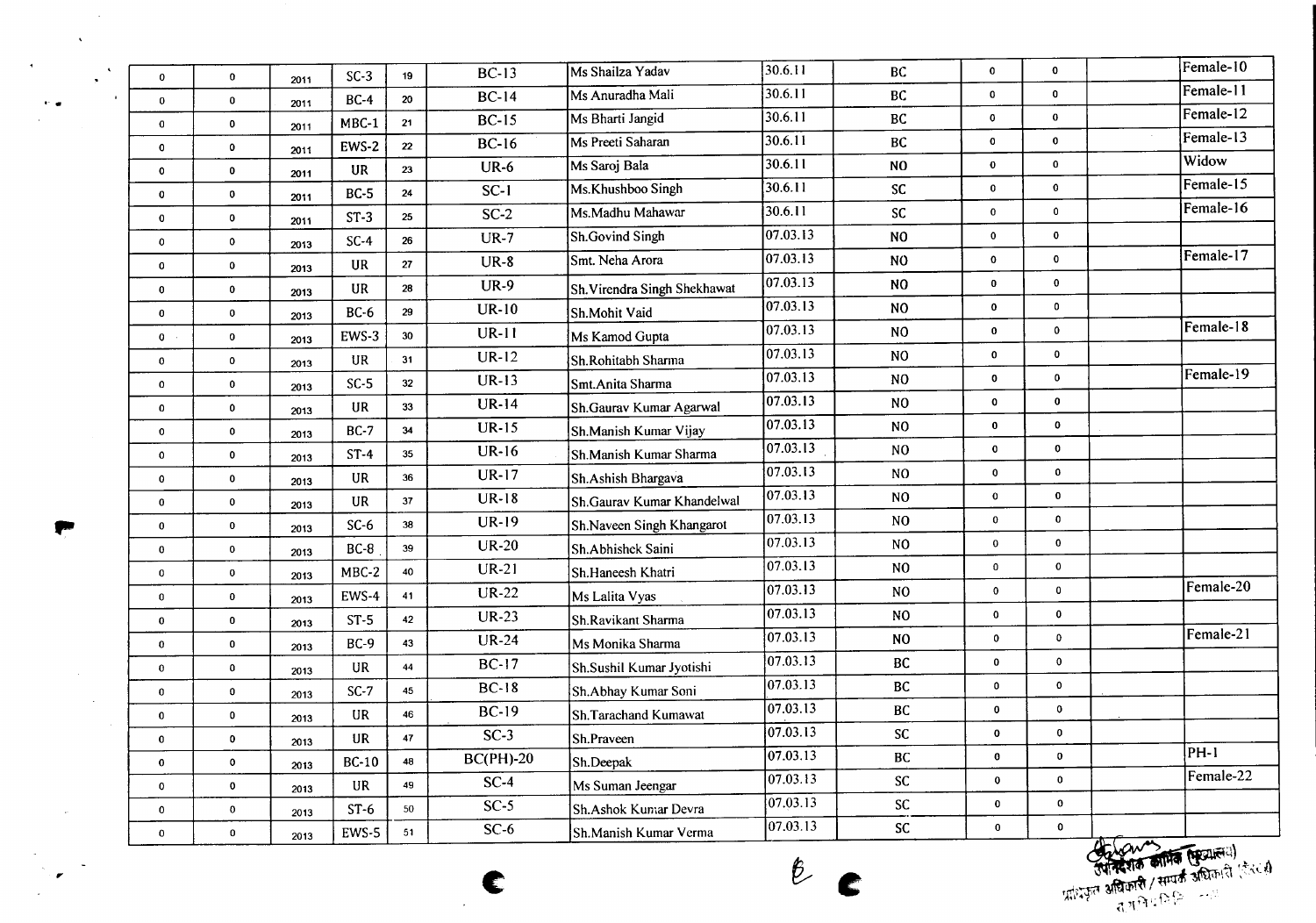|  | 0           | $\mathbf{0}$ | 2011 | $SC-3$       | 19              | $BC-13$      | Ms Shailza Yadav             | 30.6.11           | BC                     | $\mathbf 0$  | $\mathbf 0$  |          | Female-10     |
|--|-------------|--------------|------|--------------|-----------------|--------------|------------------------------|-------------------|------------------------|--------------|--------------|----------|---------------|
|  | 0           | 0            | 2011 | $BC-4$       | 20              | $BC-14$      | Ms Anuradha Mali             | 30.6.11           | BC                     | $\mathbf 0$  | $\mathbf 0$  |          | Female-11     |
|  | $\bf{0}$    | $\bf{0}$     | 2011 | $MBC-1$      | 21              | <b>BC-15</b> | Ms Bharti Jangid             | 30.6.11           | $\mathbf{B}\mathbf{C}$ | $\mathbf 0$  | $\bf{0}$     |          | Female-12     |
|  | $\mathbf 0$ | 0            | 2011 | EWS-2        | ${\bf 22}$      | <b>BC-16</b> | Ms Preeti Saharan            | 30.6.11           | BC                     | $\mathbf 0$  | $\mathbf{o}$ |          | Female-13     |
|  | $\mathbf 0$ | 0            | 2011 | <b>UR</b>    | 23              | <b>UR-6</b>  | Ms Saroj Bala                | 30.6.11           | N <sub>O</sub>         | $\mathbf 0$  | $\pmb{0}$    |          | Widow         |
|  | $\mathbf 0$ | $\mathbf{0}$ | 2011 | $BC-5$       | 24              | $SC-1$       | Ms.Khushboo Singh            | 30.6.11           | SC                     | 0            | $\mathbf 0$  |          | Female-15     |
|  | 0           | $\mathbf 0$  | 2011 | $ST-3$       | 25              | $SC-2$       | Ms.Madhu Mahawar             | 30.6.11           | SC                     | $\mathbf 0$  | $\mathbf 0$  |          | Female-16     |
|  | $\mathbf 0$ | 0            | 2013 | $SC-4$       | 26              | $UR-7$       | Sh.Govind Singh              | 07.03.13          | N <sub>O</sub>         | $\mathbf 0$  | $\mathbf 0$  |          |               |
|  | $\bf{0}$    | $\mathbf 0$  | 2013 | <b>UR</b>    | 27              | $UR-8$       | Smt. Neha Arora              | 07.03.13          | NO.                    | $\mathbf{o}$ | $\mathbf{o}$ |          | Female-17     |
|  | $\mathbf 0$ | $\mathbf 0$  | 2013 | <b>UR</b>    | 28              | <b>UR-9</b>  | Sh. Virendra Singh Shekhawat | 07.03.13          | NO.                    | $\mathbf 0$  | $\bf{0}$     |          |               |
|  | 0           | $\pmb{0}$    | 2013 | $BC-6$       | 29              | <b>UR-10</b> | Sh.Mohit Vaid                | 07.03.13          | N <sub>O</sub>         | $\mathbf 0$  | $\pmb{0}$    |          |               |
|  | $\mathbf 0$ | $\mathbf 0$  | 2013 | EWS-3        | 30 <sub>o</sub> | <b>UR-11</b> | Ms Kamod Gupta               | 07.03.13          | N <sub>O</sub>         | $\mathbf 0$  | $\mathbf 0$  |          | Female-18     |
|  | 0           | 0            | 2013 | UR           | 31              | <b>UR-12</b> | Sh.Rohitabh Sharma           | 07.03.13          | N <sub>O</sub>         | $\mathbf 0$  | $\mathbf 0$  |          |               |
|  | $\mathbf 0$ | $\mathbf{0}$ | 2013 | $SC-5$       | 32              | $UR-13$      | Smt.Anita Sharma             | 07.03.13          | N <sub>0</sub>         | $\mathbf 0$  | $\mathbf 0$  |          | Female-19     |
|  | 0           | $\mathbf 0$  | 2013 | <b>UR</b>    | 33              | <b>UR-14</b> | Sh.Gaurav Kumar Agarwal      | 07.03.13          | N <sub>O</sub>         | $\mathbf 0$  | $\mathbf 0$  |          |               |
|  | $\circ$     | $\mathbf 0$  | 2013 | $BC-7$       | 34              | <b>UR-15</b> | Sh.Manish Kumar Vijay        | 07.03.13          | N <sub>O</sub>         | $\mathbf{0}$ | $\mathbf 0$  |          |               |
|  | $\mathbf 0$ | $\mathbf 0$  | 2013 | $ST-4$       | 35              | <b>UR-16</b> | Sh.Manish Kumar Sharma       | 07.03.13          | N <sub>O</sub>         | $\mathbf 0$  | $\mathbf 0$  |          |               |
|  | 0           | $\mathbf 0$  | 2013 | <b>UR</b>    | 36              | <b>UR-17</b> | Sh.Ashish Bhargava           | 07.03.13          | N <sub>O</sub>         | $\mathbf 0$  | $\mathbf 0$  |          |               |
|  | $\bf{0}$    | 0            | 2013 | UR           | 37              | <b>UR-18</b> | Sh.Gaurav Kumar Khandelwal   | 07.03.13          | N <sub>O</sub>         | $\mathbf{0}$ | $\mathbf 0$  |          |               |
|  | $\bf{0}$    | $\mathbf 0$  | 2013 | $SC-6$       | 38              | <b>UR-19</b> | Sh.Naveen Singh Khangarot    | 07.03.13          | N <sub>O</sub>         | $\mathbf 0$  | $\mathbf 0$  |          |               |
|  | $\bf{0}$    | 0            | 2013 | BC-8         | 39              | <b>UR-20</b> | Sh.Abhishek Saini            | 07.03.13          | <b>NO</b>              | $\mathbf 0$  | $\mathbf 0$  |          |               |
|  | 0           | $\mathbf 0$  | 2013 | $MBC-2$      | 40              | $UR-21$      | Sh.Haneesh Khatri            | 07.03.13          | N <sub>0</sub>         | $\mathbf 0$  | $\mathbf 0$  |          |               |
|  | $\pmb{0}$   | $\mathbf 0$  | 2013 | EWS-4        | 41              | <b>UR-22</b> | Ms Lalita Vyas               | 07.03.13          | NO                     | $\mathbf{0}$ | 0            |          | Female-20     |
|  | $\pmb{0}$   | $\mathbf 0$  | 2013 | $ST-5$       | 42              | <b>UR-23</b> | Sh.Ravikant Sharma           | 07.03.13          | N <sub>O</sub>         | 0            | $\mathbf 0$  |          |               |
|  | $\pmb{0}$   | $\mathbf 0$  | 2013 | $BC-9$       | 43              | <b>UR-24</b> | Ms Monika Sharma             | 07.03.13          | NO.                    | $\mathbf{0}$ | $\mathbf{0}$ |          | Female-21     |
|  | $\bf{0}$    | $\mathbf 0$  | 2013 | UR           | 44              | <b>BC-17</b> | Sh.Sushil Kumar Jyotishi     | 07.03.13          | <b>BC</b>              | $\bf{0}$     | $\mathbf 0$  |          |               |
|  | $\mathbf 0$ | 0            | 2013 | $SC-7$       | 45              | $BC-18$      | Sh.Abhay Kumar Soni          | 07.03.13          | BC                     | $\mathbf 0$  | $\mathbf{0}$ |          |               |
|  | 0           | 0            | 2013 | <b>UR</b>    | 46              | <b>BC-19</b> | Sh.Tarachand Kumawat         | 07.03.13          | BC                     | $\mathbf{0}$ | 0            |          |               |
|  | 0           | $\mathbf 0$  | 2013 | <b>UR</b>    | 47              | $SC-3$       | Sh.Praveen                   | 07.03.13          | <b>SC</b>              | $\mathbf 0$  | $\mathbf{0}$ |          |               |
|  | $\mathbf 0$ | $\mathbf 0$  | 2013 | <b>BC-10</b> | 48              | $BC(PH)-20$  | Sh.Deepak                    | 07.03.13          | BC                     | $\bf{0}$     | 0            |          | $PH-1$        |
|  | 0           | $\mathbf 0$  | 2013 | UR           | 49              | $SC-4$       | Ms Suman Jeengar             | 07.03.13          | SC                     | $\mathbf 0$  | $\mathbf 0$  |          | Female-22     |
|  | $\mathbf 0$ | $\mathbf 0$  | 2013 | $ST-6$       | 50              | $SC-5$       | Sh.Ashok Kumar Devra         | $\sqrt{07.03.13}$ | <b>SC</b>              | $\mathbf 0$  | $\mathbf{0}$ |          |               |
|  | 0           | $\mathbf 0$  | 2013 | EWS-5        | 51              | $SC-6$       | Sh.Manish Kumar Verma        | 07.03.13          | <b>SC</b>              | $\mathbf{0}$ | $\mathbf 0$  | $\Delta$ | $\rightarrow$ |

 $\cdot$  .

 $\bullet$ 

 $\bar{z}$  $\mathbf{v}$ 

..

 $\sim$ 

E.

c

 $\ell$ 

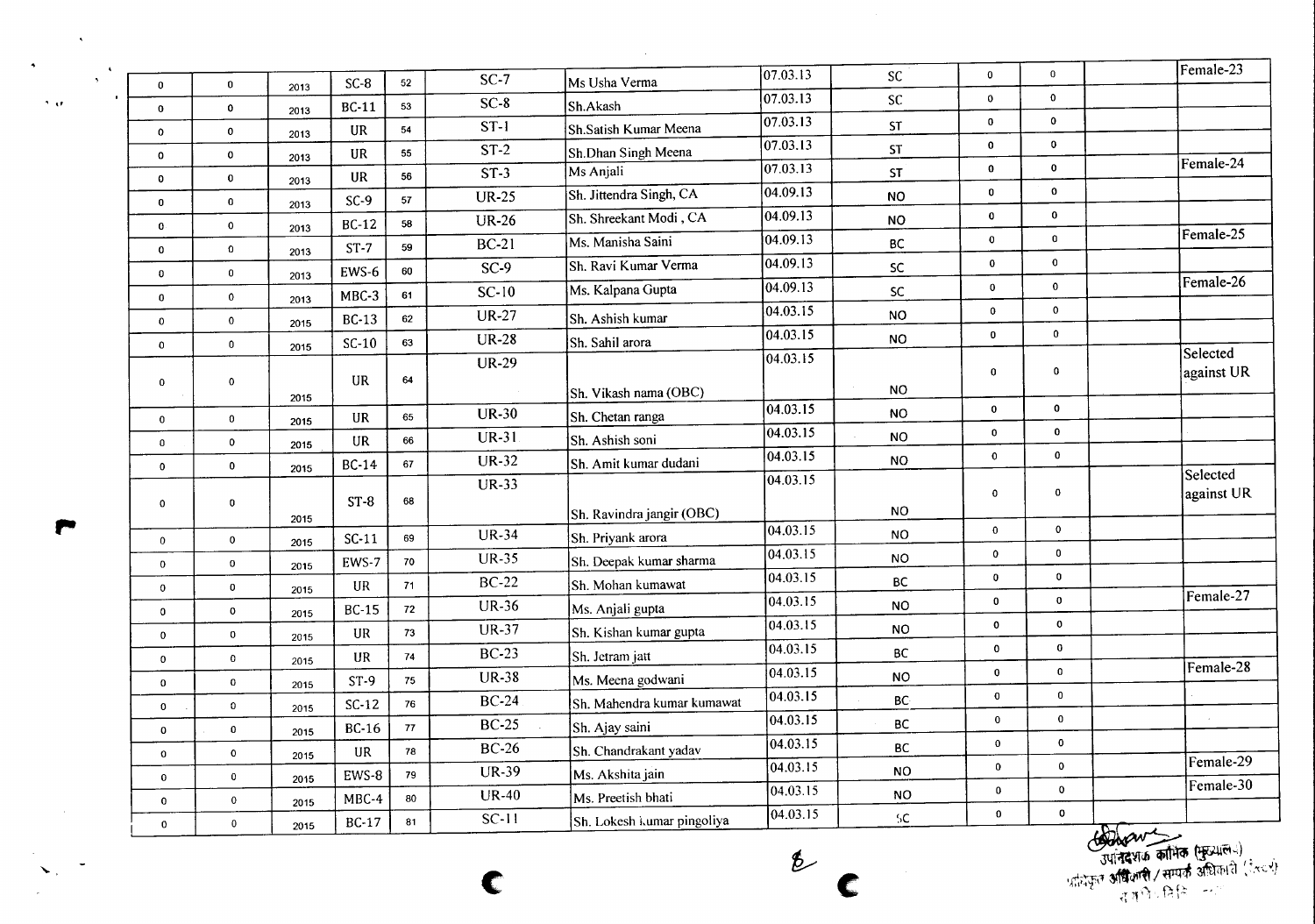| $\mathbf 0$  | $\mathbf 0$               | 2013         | $SC-8$       | 52 | $SC-7$              | Ms Usha Verma              | 07.03.13          | <b>SC</b> | $\bf{0}$     | $\pmb{0}$    | Female-23              |
|--------------|---------------------------|--------------|--------------|----|---------------------|----------------------------|-------------------|-----------|--------------|--------------|------------------------|
| $\mathbf 0$  | $\mathbf 0$               | 2013         | <b>BC-11</b> | 53 | $SC-8$              | Sh.Akash                   | 07.03.13          | SC        | 0            | $\mathbf 0$  |                        |
| $\mathbf 0$  | $\mathbf 0$               | 2013         | <b>UR</b>    | 54 | $ST-1$              | Sh.Satish Kumar Meena      | $\sqrt{07.03.13}$ | <b>ST</b> | 0            | $\mathbf{o}$ |                        |
| $\mathbf 0$  | $\mathbf 0$               | 2013         | UR           | 55 | $ST-2$              | Sh.Dhan Singh Meena        | 07.03.13          | <b>ST</b> | $\mathbf 0$  | $\mathbf 0$  |                        |
| $\pmb{0}$    | $\mathbf 0$               | 2013         | <b>UR</b>    | 56 | $ST-3$              | Ms Anjali                  | $\sqrt{07.03.13}$ | ST        | $\mathbf 0$  | $\mathbf 0$  | Female-24              |
| $\pmb{0}$    | $\mathbf 0$               | 2013         | $SC-9$       | 57 | <b>UR-25</b>        | Sh. Jittendra Singh, CA    | 04.09.13          | <b>NO</b> | 0            | $\mathbf 0$  |                        |
| $\mathbf{0}$ | $\mathbf 0$               | 2013         | <b>BC-12</b> | 58 | <b>UR-26</b>        | Sh. Shreekant Modi, CA     | 04.09.13          | <b>NO</b> | $\mathbf 0$  | $\mathbf 0$  |                        |
| $\mathbf 0$  | $\mathbf 0$               | 2013         | $ST-7$       | 59 | $BC-21$             | Ms. Manisha Saini          | 04.09.13          | ВC        | $\mathbf 0$  | $\pmb{0}$    | Female-25              |
| $\pmb{0}$    | 0                         | 2013         | EWS-6        | 60 | $SC-9$              | Sh. Ravi Kumar Verma       | 04.09.13          | SC        | $\pmb{0}$    | $\mathbf 0$  |                        |
| $\mathbf 0$  | 0                         | 2013         | MBC-3        | 61 | $SC-10$             | Ms. Kalpana Gupta          | 04.09.13          | SC        | $\pmb{0}$    | $\mathbf 0$  | Female-26              |
| $\pmb{0}$    | $\mathbf 0$               | 2015         | $BC-13$      | 62 | <b>UR-27</b>        | Sh. Ashish kumar           | 04.03.15          | <b>NO</b> | $\mathbf 0$  | $\mathbf 0$  |                        |
| $\mathbf 0$  | $\pmb{0}$                 | 2015         | $SC-10$      | 63 | <b>UR-28</b>        | Sh. Sahil arora            | 04.03.15          | NO.       | $\bf{0}$     | $\mathbf 0$  |                        |
|              |                           |              |              |    | <b>UR-29</b>        |                            | 04.03.15          |           | $\mathbf 0$  | $\mathbf 0$  | Selected<br>against UR |
| 0            | $\mathbf 0$               |              | <b>UR</b>    | 64 |                     | Sh. Vikash nama (OBC)      |                   | <b>NO</b> |              |              |                        |
| $\mathbf 0$  | $\bf{0}$                  | 2015         | <b>UR</b>    | 65 | $\overline{UR}$ -30 | Sh. Chetan ranga           | 04.03.15          | <b>NO</b> | $\mathbf 0$  | $\mathbf 0$  |                        |
| $\pmb{0}$    | $\mathbf 0$               | 2015<br>2015 | <b>UR</b>    | 66 | <b>UR-31</b>        | Sh. Ashish soni            | 04.03.15          | <b>NO</b> | 0            | $\bf{0}$     |                        |
| 0            | $\mathbf 0$               |              | <b>BC-14</b> | 67 | <b>UR-32</b>        | Sh. Amit kumar dudani      | 04.03.15          | <b>NO</b> | $\mathbf 0$  | $\bf{0}$     |                        |
|              |                           | 2015         |              |    | <b>UR-33</b>        |                            | 04.03.15          |           |              |              | Selected               |
| 0            | $\pmb{0}$                 |              | $ST-8$       | 68 |                     | Sh. Ravindra jangir (OBC)  |                   | <b>NO</b> | 0            | 0            | against UR             |
|              |                           | 2015         | $SC-11$      | 69 | $UR-34$             | Sh. Priyank arora          | 04.03.15          | <b>NO</b> | $\mathbf{0}$ | $\mathbf{0}$ |                        |
| $\mathbf{0}$ | $\bf{0}$<br>$\mathbbm{C}$ | 2015         | EWS-7        | 70 | <b>UR-35</b>        | Sh. Deepak kumar sharma    | $\sqrt{04.03.15}$ | <b>NO</b> | $\mathbf{0}$ | $\mathbf 0$  |                        |
| $\mathbf{0}$ | $\mathbf 0$               | 2015         | UR           | 71 | $\overline{BC-22}$  | Sh. Mohan kumawat          | [04.03.15]        | BC        | 0            | 0            |                        |
| $\mathbf 0$  | $\mathbf 0$               | 2015         | <b>BC-15</b> | 72 | <b>UR-36</b>        | Ms. Anjali gupta           | $\sqrt{04.03.15}$ | <b>NO</b> | $\mathbf{0}$ | $\mathbf 0$  | Female-27              |
| $\mathbf 0$  | $\mathbf 0$               | 2015         | <b>UR</b>    | 73 | <b>UR-37</b>        | Sh. Kishan kumar gupta     | 04.03.15          | <b>NO</b> | $\mathbf 0$  | $\mathbf 0$  |                        |
| $\mathbf 0$  | $\mathbf{0}$              | 2015         | <b>UR</b>    | 74 | $BC-23$             | Sh. Jetram jatt            | 04.03.15          | ВC        | $\mathbf 0$  | $\Omega$     |                        |
| $\mathbf 0$  |                           | 2015         | $ST-9$       | 75 | <b>UR-38</b>        | Ms. Meena godwani          | 04.03.15          | <b>NO</b> | $\mathbf 0$  | $\mathbf 0$  | Female-28              |
| $\bf{0}$     | 0                         | 2015         | $SC-12$      | 76 | $BC-24$             | Sh. Mahendra kumar kumawat | 04.03.15          | BC        | $\mathbf{0}$ | $\mathbf 0$  |                        |
| $\mathbf 0$  | $\mathbf{0}$              | 2015         | <b>BC-16</b> | 77 | $BC-25$             | Sh. Ajay saini             | 04.03.15          | BC        | $\mathbf 0$  | $\Omega$     |                        |
| 0            | $\bf{0}$                  | 2015         | <b>UR</b>    | 78 | <b>BC-26</b>        | Sh. Chandrakant yadav      | 04.03.15          | <b>BC</b> | $\mathbf 0$  | $\mathbf 0$  |                        |
| $\mathbf 0$  | $\mathbf 0$               | 2015         | EWS-8        | 79 | <b>UR-39</b>        | Ms. Akshita jain           | 04.03.15          | <b>NO</b> | 0            | $\mathbf 0$  | Female-29              |
| $\mathbf{0}$ | $\bf{0}$                  | 2015         | MBC-4        | 80 | <b>UR-40</b>        | Ms. Preetish bhati         | 04.03.15          | <b>NO</b> | 0            | $\mathbf{o}$ | Female-30              |
| $\mathbf 0$  | $\mathbf 0$               | 2015         | <b>BC-17</b> | 81 | $SC-11$             | Sh. Lokesh kumar pingoliya | 04.03.15          | SC.       | $\mathbf 0$  | 0            |                        |
| $\bf{0}$     | $\mathbf{0}$              | 2015         |              |    |                     |                            |                   |           |              |              | AB                     |

c

**c** 

, "

 $\bullet$ 

 $\Delta$ 

,.

 $\sim$ 

 $\ddot{\phantom{0}}$  $\sum_{i=1}^{n}$ 

 $\sqrt{2\pi}$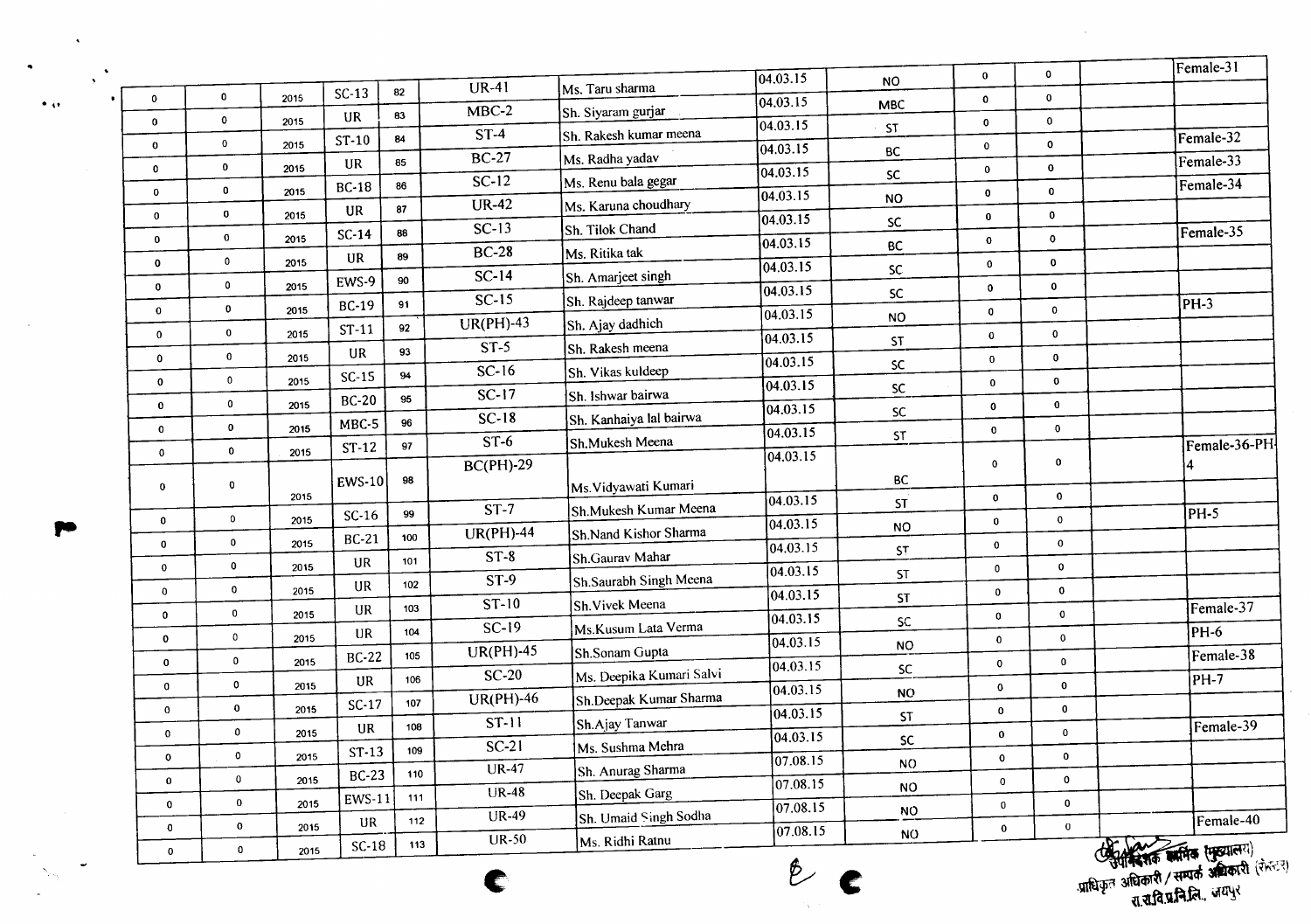|                         |              |      |                                   |     |                          |                          | $\sqrt{04.03.15}$     | <b>NO</b>  | $\mathbf 0$  | $\mathbf 0$  | Female-31                |
|-------------------------|--------------|------|-----------------------------------|-----|--------------------------|--------------------------|-----------------------|------------|--------------|--------------|--------------------------|
| $\Omega$                | $\mathbf 0$  | 2015 | $SC-13$                           | 82  | <b>UR-41</b>             | Ms. Taru sharma          | $\sqrt{04.03.15}$     | <b>MBC</b> | $\mathbf{o}$ | $\mathbf 0$  |                          |
| $\mathbf{0}$            | $\mathbf 0$  | 2015 | <b>UR</b>                         | 83  | $MBC-2$                  | Sh. Siyaram gurjar       | $\sqrt{04.03.15}$     | <b>ST</b>  | $\mathbf 0$  | $\mathbf{o}$ |                          |
| $\mathbf 0$             | $\mathbf{0}$ | 2015 | $ST-10$                           | 84  | $ST-4$                   | Sh. Rakesh kumar meena   | 04.03.15              | <b>BC</b>  | $\mathbf 0$  | $\Omega$     | Female-32                |
| $\overline{\mathbf{0}}$ | $\mathbf 0$  | 2015 | UR                                | 85  | <b>BC-27</b>             | Ms. Radha yadav          | $\overline{04.03.15}$ | <b>SC</b>  | $\mathbf 0$  | $\mathbf 0$  | Female-33                |
| $\mathbf 0$             | 0            | 2015 | <b>BC-18</b>                      | 86  | $SC-12$                  | Ms. Renu bala gegar      | $\sqrt{04.03.15}$     |            | $\mathbf 0$  | $\mathbf 0$  | $Female-34$              |
| $\bf{0}$                | $\mathbf 0$  | 2015 | UR                                | 87  | $\overline{UR}$ -42      | Ms. Karuna choudhary     | $\overline{04.03.15}$ | <b>NO</b>  | $\mathbf 0$  | $\mathbf 0$  |                          |
| 0                       | $\mathbf 0$  | 2015 | $SC-14$                           | 88  | $\overline{SC-13}$       | Sh. Tilok Chand          | $\overline{04.03.15}$ | <b>SC</b>  | $\mathbf{o}$ | $\mathbf 0$  | Female-35                |
| $\mathbf 0$             | $\mathbf 0$  | 2015 | <b>UR</b>                         | 89  | $BC-28$                  | Ms. Ritika tak           | $\sqrt{04.03.15}$     | ВC         | $\mathbf{0}$ | 0            |                          |
| $\mathbf 0$             | $\pmb{0}$    | 2015 | EWS-9                             | 90  | $SC-14$                  | Sh. Amarjeet singh       |                       | ${\sf SC}$ | $\mathbf 0$  | $\Omega$     |                          |
| $\mathbf 0$             | $\mathbf 0$  | 2015 | <b>BC-19</b>                      | 91  | $SC-15$                  | Sh. Rajdeep tanwar       | $\sqrt{04.03.15}$     | <b>SC</b>  | $\mathbf 0$  | $\mathbf{0}$ | <b>PH-3</b>              |
| $\mathbf{0}$            | $\pmb{0}$    | 2015 | $ST-11$                           | 92  | $UR(PH) - 43$            | Sh. Ajay dadhich         | 04.03.15              | NO.        | $\bf{0}$     | $\mathbf 0$  |                          |
| $\mathbf 0$             | $\mathbf{0}$ | 2015 | $\ensuremath{\mathsf{UR}}\xspace$ | 93  | $ST-5$                   | Sh. Rakesh meena         | 04.03.15              | <b>ST</b>  |              | $\mathbf 0$  |                          |
|                         | $\pmb{0}$    | 2015 | $SC-15$                           | 94  | $SC-16$                  | Sh. Vikas kuldeep        | $\sqrt{04.03.15}$     | ${\sf SC}$ | $\mathbf{O}$ | $\mathbf 0$  |                          |
| $\mathbf 0$             | $\mathbf 0$  |      | <b>BC-20</b>                      | 95  | $\overline{SC-17}$       | Sh. Ishwar bairwa        | $\sqrt{04.03.15}$     | ${\sf SC}$ | $\mathbf 0$  |              |                          |
| $\mathbf{0}$            |              | 2015 | MBC-5                             | 96  | $SC-18$                  | Sh. Kanhaiya lal bairwa  | 04.03.15              | SC.        | $\mathbf 0$  | $\mathbf{0}$ |                          |
| $\mathbf{o}$            | $\mathbf 0$  | 2015 | $ST-12$                           | 97  | $\overline{ST-6}$        | Sh.Mukesh Meena          | $\sqrt{04.03.15}$     | ST.        | $\mathbf 0$  | $\mathbf 0$  | Female-36-PH             |
| $\mathbf 0$             | 0            | 2015 |                                   |     | $BC(PH)-29$              |                          | $\sqrt{04.03.15}$     |            | $\mathbf 0$  | 0            | 14                       |
| $\mathbf 0$             | $\mathbf 0$  |      | <b>EWS-10</b>                     | 98  |                          | Ms. Vidyawati Kumari     |                       | BC         |              |              |                          |
|                         |              | 2015 | $SC-16$                           | 99  | $\overline{\text{ST-7}}$ | Sh.Mukesh Kumar Meena    | $\overline{04.03.15}$ | <b>ST</b>  | $\pmb{0}$    | $\mathbf 0$  | PH-5                     |
| $\mathbf 0$             | $\mathbf 0$  | 2015 | <b>BC-21</b>                      | 100 | $UR(PH) - 44$            | Sh.Nand Kishor Sharma    | $\overline{04.03.15}$ | <b>NO</b>  | 0            | $\mathbf 0$  |                          |
| $\mathbf 0$             | $\mathbf 0$  | 2015 | <b>UR</b>                         | 101 | $ST-8$                   | Sh.Gaurav Mahar          | $\overline{04.03.15}$ | ST         | $\mathbf 0$  | $\bf{0}$     |                          |
| $\mathbf{o}$            | $\bf{0}$     | 2015 | UR                                | 102 | $ST-9$                   | Sh.Saurabh Singh Meena   | $\overline{04.03.15}$ | ST         | $\mathbf 0$  | $\mathbf{o}$ |                          |
| $\mathbf 0$             | $\mathbf 0$  | 2015 | <b>UR</b>                         | 103 | $ST-10$                  | Sh.Vivek Meena           | 04.03.15              | ST         | $\mathbf 0$  | $\mathbf 0$  | Female-37                |
| $\mathbf{0}$            | 0            | 2015 | <b>UR</b>                         | 104 | $SC-19$                  | Ms.Kusum Lata Verma      | $\sqrt{04.03.15}$     | SC         | $\pmb{0}$    | $\mathbf 0$  | $PH-6$                   |
| $\mathbf 0$             | $\mathbf 0$  | 2015 |                                   | 105 | $UR(PH) - 45$            | Sh.Sonam Gupta           | [04.03.15]            | $NO$       | $\bf{0}$     | $\mathbf 0$  | Female-38                |
| $\bf{0}$                | $\mathbf 0$  | 2015 | <b>BC-22</b>                      |     | $SC-20$                  | Ms. Deepika Kumari Salvi | 04.03.15              | <b>SC</b>  | $\mathbf 0$  | $\mathbf 0$  | <b>PH-7</b>              |
| $\mathbf 0$             | $\mathbf 0$  | 2015 | UR                                | 106 | $UR(PH)-46$              | Sh.Deepak Kumar Sharma   | 04.03.15              | <b>NO</b>  | $\mathbf 0$  | $\mathbf 0$  |                          |
| $\bf{0}$                | $\mathbf 0$  | 2015 | $SC-17$                           | 107 | $ST-11$                  | Sh.Ajay Tanwar           | $\overline{04.03.15}$ | ST.        | $\bf{0}$     | $\mathbf 0$  |                          |
| $\mathbf 0$             | $\mathbf 0$  | 2015 | <b>UR</b>                         | 108 | $SC-21$                  | Ms. Sushma Mehra         | 04.03.15              | SC.        | $\mathbf 0$  | $\pmb{0}$    | Female-39                |
| $\mathbf 0$             | $\mathbf 0$  | 2015 | $ST-13$                           | 109 | $UR-47$                  |                          | 07.08.15              | <b>NO</b>  | $\mathbf 0$  | $\mathbf 0$  |                          |
| $\mathbf 0$             | $\mathbf 0$  | 2015 | <b>BC-23</b>                      | 110 | $UR-48$                  | Sh. Anurag Sharma        | $\sqrt{07.08.15}$     | <b>NO</b>  | $\mathbf 0$  | $\bf{0}$     |                          |
| $\mathbf 0$             | 0            | 2015 | <b>EWS-11</b>                     | 111 |                          | Sh. Deepak Garg          | $\sqrt{07.08.15}$     | <b>NO</b>  | $\mathbf 0$  | $\mathbf 0$  |                          |
| $\mathbf 0$             | $\mathbf 0$  | 2015 | UR                                | 112 | $UR-49$                  | Sh. Umaid Singh Sodha    | 07.08.15              | NO.        | $\mathbf 0$  | $\bf 0$      | Female-40                |
| $\mathbf 0$             | 0            | 2015 | $SC-18$                           | 113 | <b>UR-50</b>             | Ms. Ridhi Ratnu          |                       |            |              |              | UNITED STATES (MESSINGR) |

C

 $\bullet$ .

 $\bullet$ 

 $\mathcal{A}^{\mathcal{A}}$ 

 $\ddot{\phantom{0}}$ 

..

Voq.

 $\ell$ E GUI TER THE OFFERS (FREE)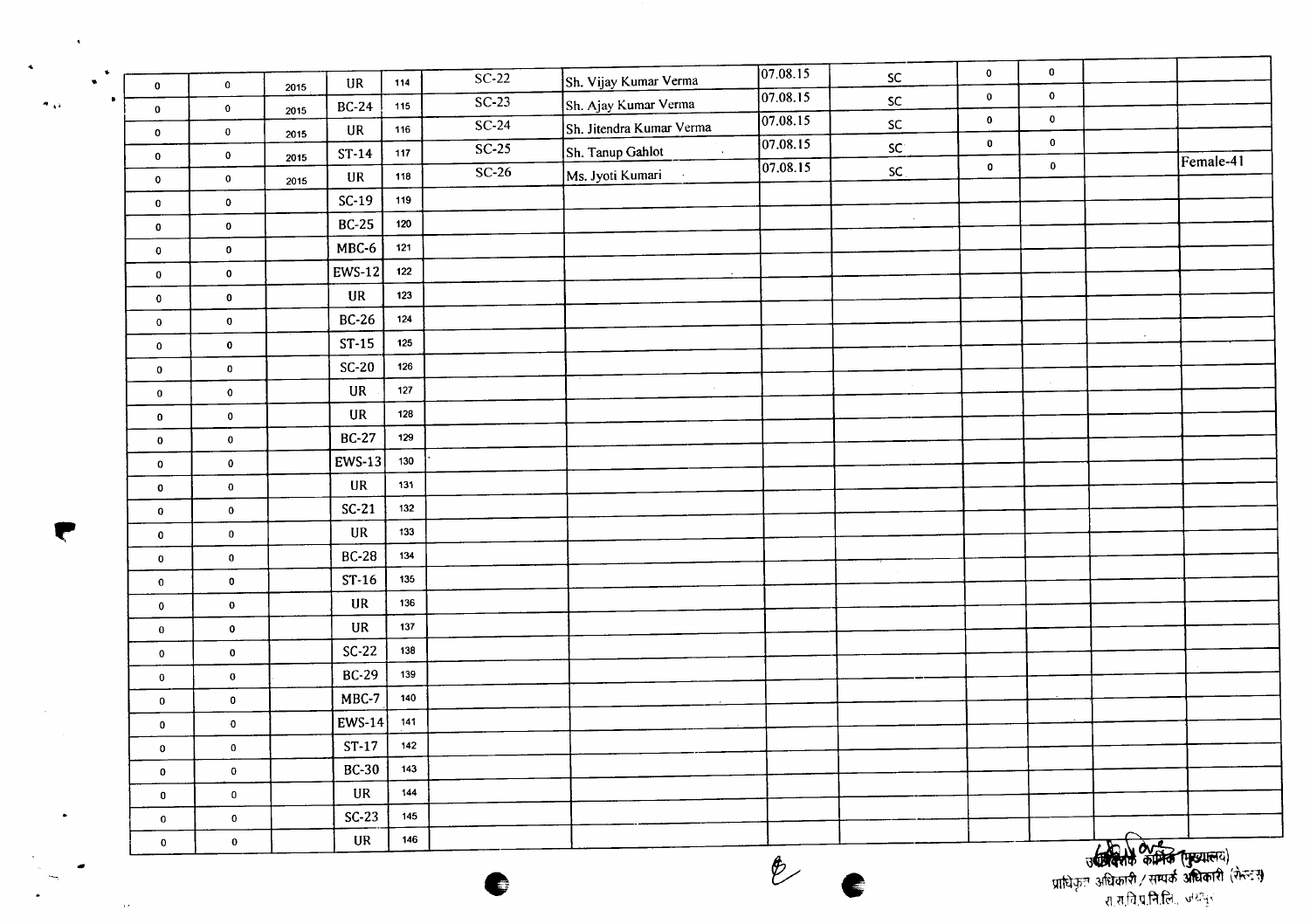| $\mathbf 0$         | $\pmb{0}$    | 2015 | UR                                | 114            | $\overline{SC-22}$ | Sh. Vijay Kumar Verma    | $\boxed{07.08.15}$ | ${\sf SC}$ | $\bf{0}$    | $\mathbf 0$ |                                                                                                                                |           |
|---------------------|--------------|------|-----------------------------------|----------------|--------------------|--------------------------|--------------------|------------|-------------|-------------|--------------------------------------------------------------------------------------------------------------------------------|-----------|
| 0                   | $\mathbf 0$  | 2015 | <b>BC-24</b>                      | 115            | $SC-23$            | Sh. Ajay Kumar Verma     | $\sqrt{07.08.15}$  | ${\sf SC}$ | $\mathbf 0$ | $\bf{0}$    |                                                                                                                                |           |
| 0                   | $\pmb{0}$    | 2015 | $\mathbf{U}\mathbf{R}$            | 116            | $SC-24$            | Sh. Jitendra Kumar Verma | 07.08.15           | ${\sf SC}$ | $\bf{0}$    | $\mathbf 0$ |                                                                                                                                |           |
| $\mathbf 0$         | $\mathbf{0}$ | 2015 | $ST-14$                           | 117            | $SC-25$            | Sh. Tanup Gahlot         | 07.08.15           | $\sf SC$   | $\pmb{0}$   | $\mathbf 0$ |                                                                                                                                | Female-41 |
| $\mathbf 0$         | $\mathbf{0}$ | 2015 | UR                                | 118            | $SC-26$            | Ms. Jyoti Kumari         | 07.08.15           | SC.        | $\pmb{0}$   | $\pmb{0}$   |                                                                                                                                |           |
| $\mathbf 0$         | $\bullet$    |      | $SC-19$                           | 119            |                    |                          |                    |            |             |             |                                                                                                                                |           |
| $\bf{0}$            | $\pmb{0}$    |      | <b>BC-25</b>                      | 120            |                    |                          |                    |            |             |             |                                                                                                                                |           |
| $\mathbf 0$         | $\mathbf 0$  |      | MBC-6                             | 121            |                    |                          |                    |            |             |             |                                                                                                                                |           |
| $\bf{0}$            | $\mathbf 0$  |      | <b>EWS-12</b>                     | 122            |                    |                          |                    |            |             |             |                                                                                                                                |           |
| $\mathbf 0$         | $\pmb{0}$    |      | $\ensuremath{\mathsf{UR}}\xspace$ | 123            |                    |                          |                    |            |             |             |                                                                                                                                |           |
| $\bf{0}$            | $\bullet$    |      | <b>BC-26</b>                      | $124$          |                    |                          |                    |            |             |             |                                                                                                                                |           |
| $\mathbf 0$         | $\mathbf{0}$ |      | $ST-15$                           | 125            |                    |                          |                    |            |             |             | $\mathcal{A}$                                                                                                                  |           |
| $\bf{0}$            | $\pmb{0}$    |      | $SC-20$                           | 126            |                    |                          |                    |            |             |             |                                                                                                                                |           |
| $\mathbf 0$         | $\mathbf 0$  |      | UR                                | $127$          |                    |                          |                    |            |             |             |                                                                                                                                |           |
| $\bf{0}$            | $\mathbf 0$  |      | <b>UR</b>                         | 128            |                    |                          |                    |            |             |             |                                                                                                                                |           |
| $\bf{0}$            | $\pmb{0}$    |      | <b>BC-27</b>                      | 129            |                    |                          |                    |            |             |             |                                                                                                                                |           |
| $\mathbf 0$         | $\mathbf{0}$ |      | <b>EWS-13</b>                     | 130            |                    |                          |                    |            |             |             |                                                                                                                                |           |
| $\mathbf 0$         | $\pmb{0}$    |      | $_{\rm UR}$                       | 131            |                    |                          |                    |            |             |             |                                                                                                                                |           |
| $\mathbf 0$         | $\mathbf 0$  |      | $SC-21$                           | 132            |                    |                          |                    |            |             |             |                                                                                                                                |           |
| 0                   | $\mathbf{0}$ |      | $\mathbf{U}\mathbf{R}$            | 133            |                    |                          |                    |            |             |             |                                                                                                                                |           |
| $\mathbf 0$         | $\mathbf 0$  |      | <b>BC-28</b>                      | 134            |                    |                          |                    |            |             |             |                                                                                                                                |           |
| $\mathbf 0$         | $\mathbf 0$  |      | $ST-16$                           | 135            |                    |                          |                    |            |             |             |                                                                                                                                |           |
| 0                   | $\bf{0}$     |      | <b>UR</b>                         | 136            |                    |                          |                    |            |             |             |                                                                                                                                |           |
| $\bf{0}$            | $\mathbf{0}$ |      | UR                                | 137            |                    |                          |                    |            |             |             |                                                                                                                                |           |
| 0                   | $\bullet$    |      | $SC-22$                           | 138            |                    |                          |                    |            |             |             |                                                                                                                                |           |
| $\bf{0}$            | $\mathbf{0}$ |      | <b>BC-29</b>                      | 139            |                    |                          |                    |            |             |             |                                                                                                                                |           |
| $\mathbf 0$         | $\mathbf 0$  |      | MBC-7                             | 140            |                    |                          |                    |            |             |             |                                                                                                                                |           |
| 0                   | $\mathbf 0$  |      | <b>EWS-14</b>                     | $141$          |                    |                          |                    |            |             |             |                                                                                                                                |           |
| $\mathbf 0$         | $\mathbf 0$  |      | $ST-17$                           | 142            |                    |                          |                    |            |             |             |                                                                                                                                |           |
| $\pmb{0}$           | $\mathbf 0$  |      | <b>BC-30</b>                      | $143$<br>$144$ |                    |                          |                    |            |             |             |                                                                                                                                |           |
| $\mathbf 0$         | $\pmb{0}$    |      | UR<br>$SC-23$                     | 145            |                    |                          |                    |            |             |             |                                                                                                                                |           |
| $\mathbf 0$         | $\pmb{0}$    |      | <b>UR</b>                         | 146            |                    |                          |                    |            |             |             |                                                                                                                                |           |
| $\mathbf 0$         | $\mathbf 0$  |      |                                   |                |                    |                          |                    |            |             |             |                                                                                                                                |           |
| $\mathbf{z} \neq 0$ |              |      |                                   |                |                    |                          | $\ell$             | <b>E</b>   |             |             | उपसिक्त कार्मिक (मुख्यात्मय)<br>प्राधिकृत अधिकारी / सम्पर्क अधिकारी (रोस्टर्स)<br>शाधिकृत अधिकारी / सम्पर्क अधिकारी (रोस्टर्स) |           |

 $\mathbf{C}$ 

 $\blacktriangleleft$ 

 $\mathcal{A}_{\mathcal{A} \mathcal{A}}$ 

₹

 $\mathcal{A}^{\prime}$ 

 $\bullet$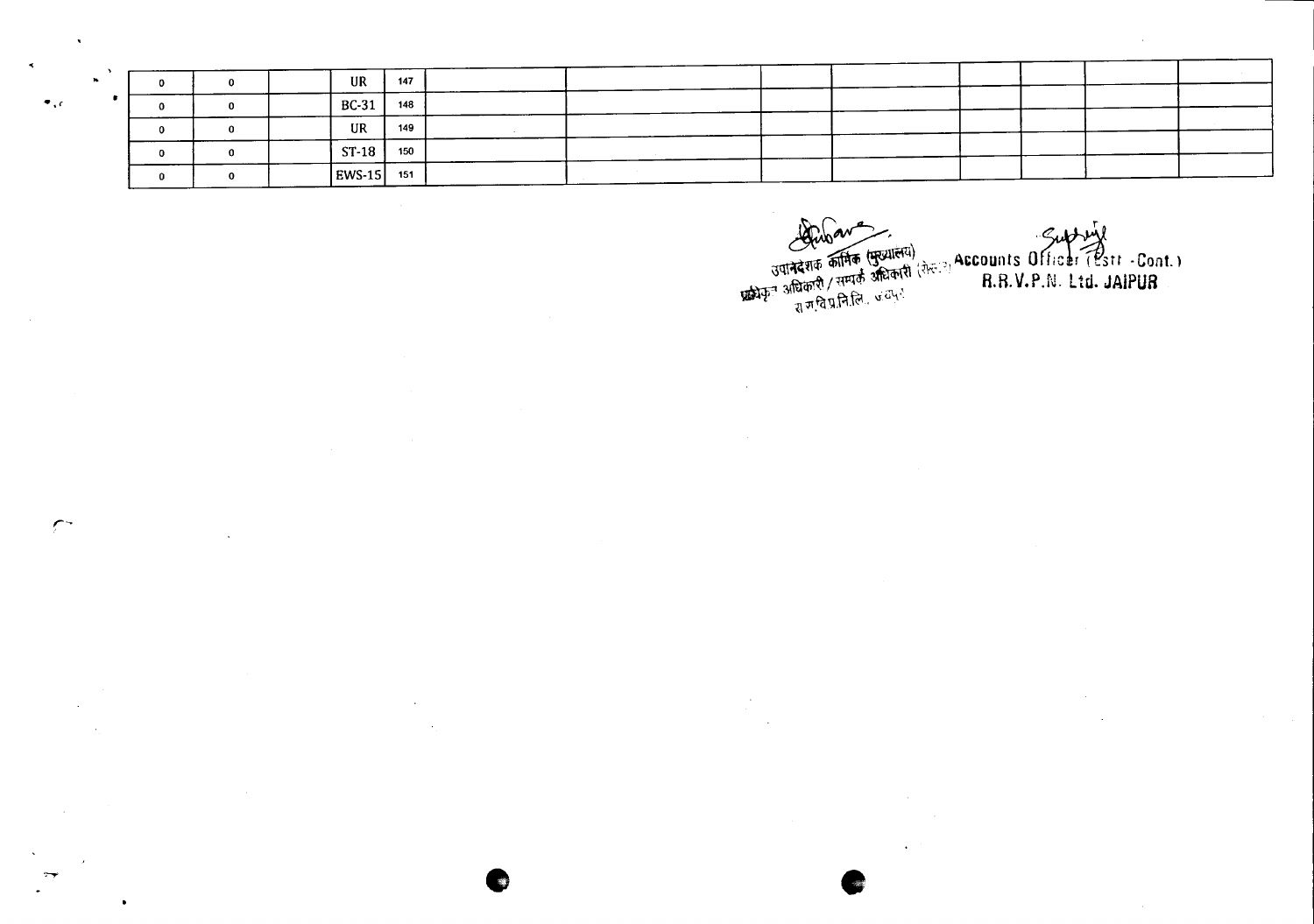|  |  | <b>UR</b>      | 147 |  |  |  |  |  |
|--|--|----------------|-----|--|--|--|--|--|
|  |  | $BC-31$ 148    |     |  |  |  |  |  |
|  |  | UR             | 149 |  |  |  |  |  |
|  |  | $ST-18$ 150    |     |  |  |  |  |  |
|  |  | $ EWS-15 $ 151 |     |  |  |  |  |  |
|  |  |                |     |  |  |  |  |  |

Gubay (Ballett)<br>
Supported and the Cont.)<br>
Supported and the Cont.)<br>
B.B.V.P.N. Ltd. JAIPUR

 $\curvearrowleft$ 

 $\bullet$ , c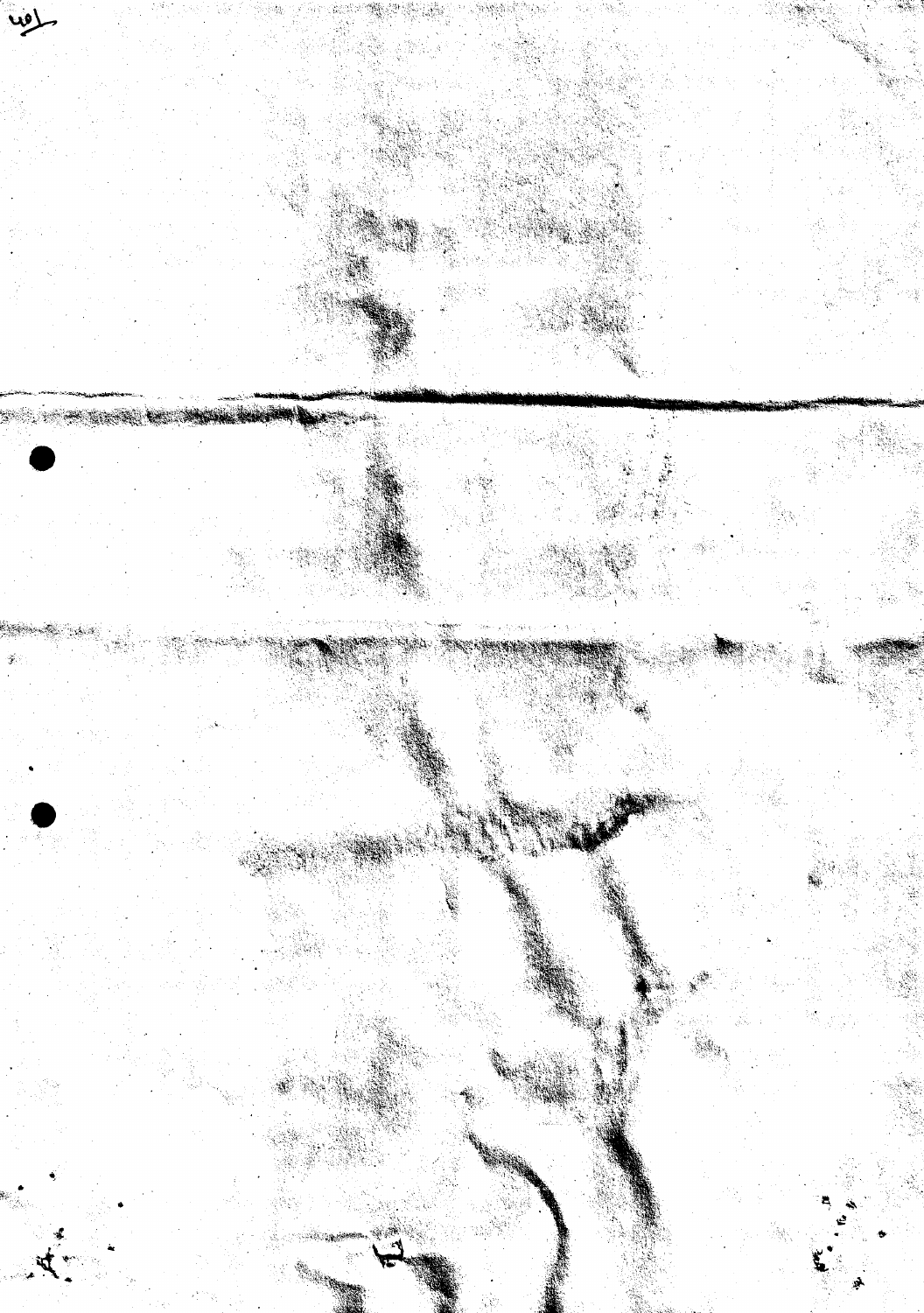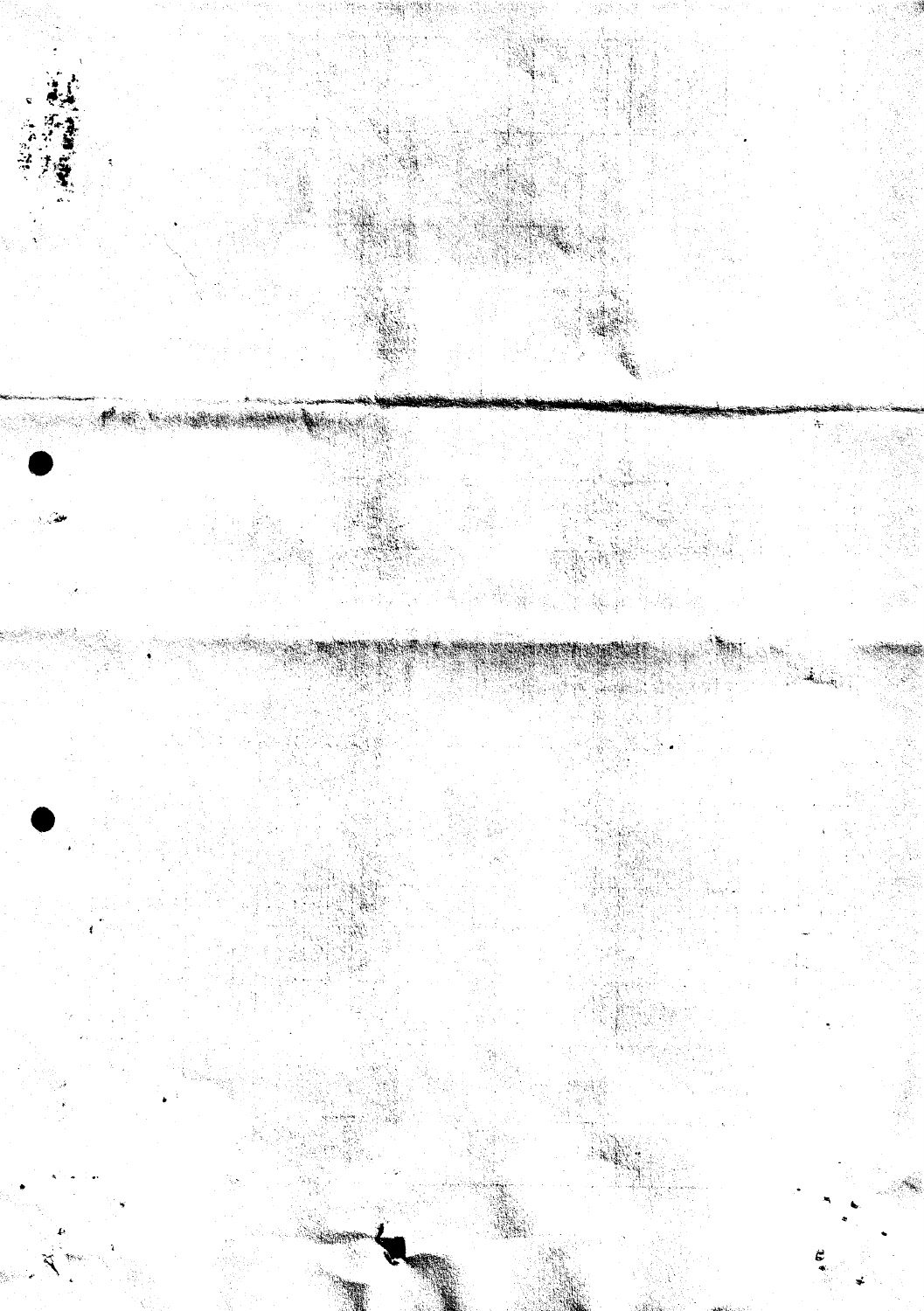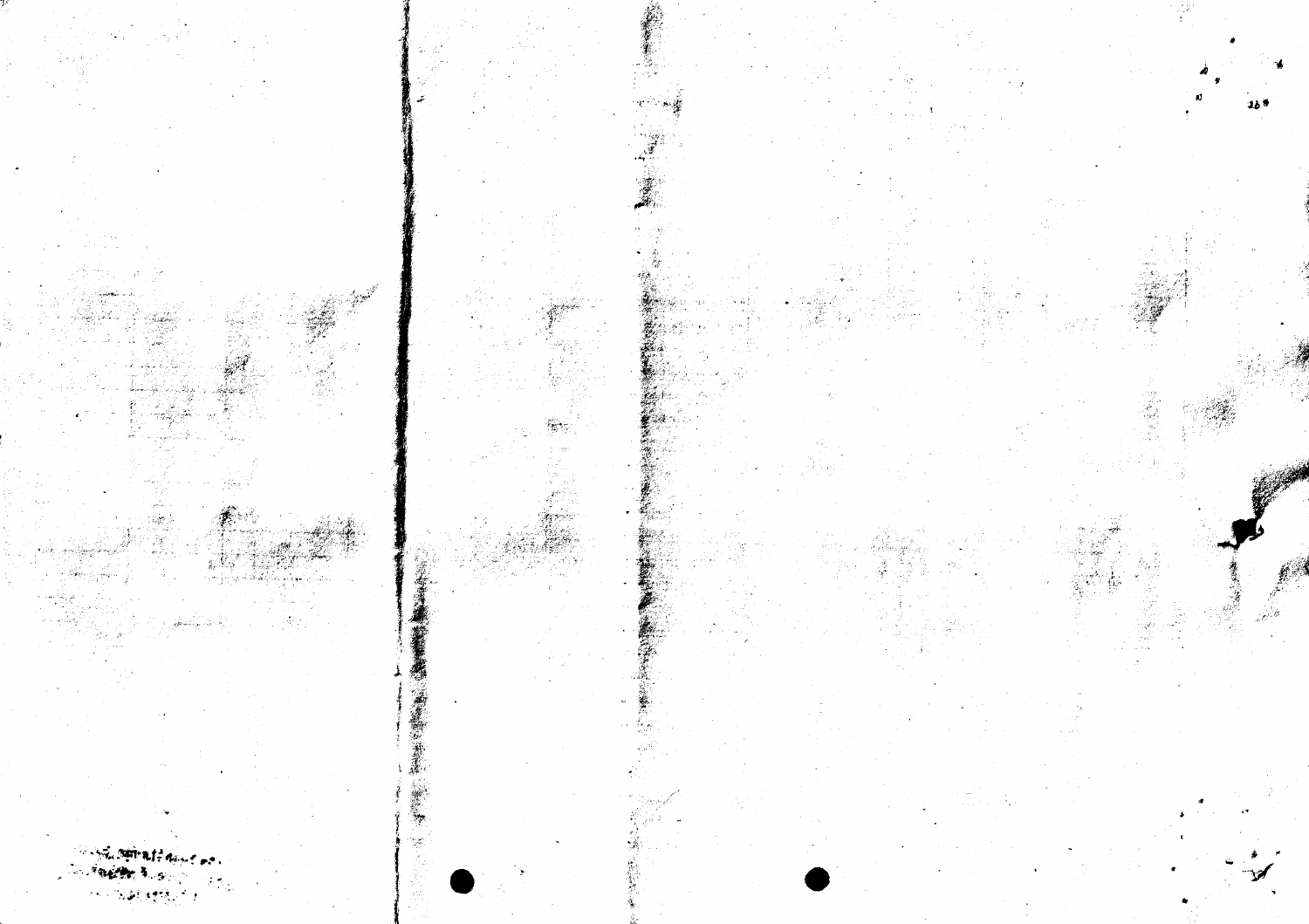